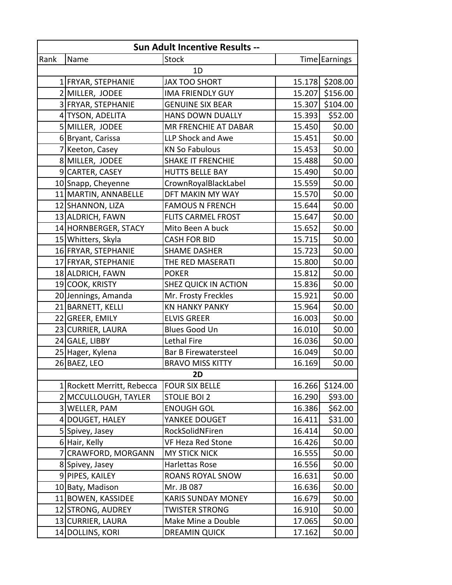| Sun Adult Incentive Results -- |                            |                             |        |                 |  |  |  |
|--------------------------------|----------------------------|-----------------------------|--------|-----------------|--|--|--|
| Rank                           | Name                       | <b>Stock</b>                |        | Time Earnings   |  |  |  |
| 1D                             |                            |                             |        |                 |  |  |  |
|                                | 1 FRYAR, STEPHANIE         | <b>JAX TOO SHORT</b>        |        | 15.178 \$208.00 |  |  |  |
|                                | 2 MILLER, JODEE            | <b>IMA FRIENDLY GUY</b>     | 15.207 | \$156.00        |  |  |  |
|                                | 3 FRYAR, STEPHANIE         | <b>GENUINE SIX BEAR</b>     |        | 15.307 \$104.00 |  |  |  |
|                                | 4 TYSON, ADELITA           | <b>HANS DOWN DUALLY</b>     | 15.393 | \$52.00         |  |  |  |
|                                | 5 MILLER, JODEE            | MR FRENCHIE AT DABAR        | 15.450 | \$0.00          |  |  |  |
|                                | 6 Bryant, Carissa          | LLP Shock and Awe           | 15.451 | \$0.00          |  |  |  |
|                                | 7 Keeton, Casey            | <b>KN So Fabulous</b>       | 15.453 | \$0.00          |  |  |  |
|                                | 8 MILLER, JODEE            | <b>SHAKE IT FRENCHIE</b>    | 15.488 | \$0.00          |  |  |  |
|                                | 9 CARTER, CASEY            | <b>HUTTS BELLE BAY</b>      | 15.490 | \$0.00          |  |  |  |
|                                | 10 Snapp, Cheyenne         | CrownRoyalBlackLabel        | 15.559 | \$0.00          |  |  |  |
|                                | 11 MARTIN, ANNABELLE       | DFT MAKIN MY WAY            | 15.570 | \$0.00          |  |  |  |
|                                | 12 SHANNON, LIZA           | <b>FAMOUS N FRENCH</b>      | 15.644 | \$0.00          |  |  |  |
|                                | 13 ALDRICH, FAWN           | <b>FLITS CARMEL FROST</b>   | 15.647 | \$0.00          |  |  |  |
|                                | 14 HORNBERGER, STACY       | Mito Been A buck            | 15.652 | \$0.00          |  |  |  |
|                                | 15 Whitters, Skyla         | <b>CASH FOR BID</b>         | 15.715 | \$0.00          |  |  |  |
|                                | 16 FRYAR, STEPHANIE        | <b>SHAME DASHER</b>         | 15.723 | \$0.00          |  |  |  |
|                                | 17 FRYAR, STEPHANIE        | THE RED MASERATI            | 15.800 | \$0.00          |  |  |  |
|                                | 18 ALDRICH, FAWN           | <b>POKER</b>                | 15.812 | \$0.00          |  |  |  |
|                                | 19 COOK, KRISTY            | <b>SHEZ QUICK IN ACTION</b> | 15.836 | \$0.00          |  |  |  |
|                                | 20 Jennings, Amanda        | Mr. Frosty Freckles         | 15.921 | \$0.00          |  |  |  |
|                                | 21 BARNETT, KELLI          | <b>KN HANKY PANKY</b>       | 15.964 | \$0.00          |  |  |  |
|                                | 22 GREER, EMILY            | <b>ELVIS GREER</b>          | 16.003 | \$0.00          |  |  |  |
|                                | 23 CURRIER, LAURA          | <b>Blues Good Un</b>        | 16.010 | \$0.00          |  |  |  |
|                                | 24 GALE, LIBBY             | Lethal Fire                 | 16.036 | \$0.00          |  |  |  |
|                                | 25 Hager, Kylena           | Bar B Firewatersteel        | 16.049 | \$0.00          |  |  |  |
|                                | 26 BAEZ, LEO               | <b>BRAVO MISS KITTY</b>     | 16.169 | \$0.00          |  |  |  |
| 2D                             |                            |                             |        |                 |  |  |  |
|                                | 1 Rockett Merritt, Rebecca | <b>FOUR SIX BELLE</b>       | 16.266 | \$124.00        |  |  |  |
|                                | 2 MCCULLOUGH, TAYLER       | <b>STOLIE BOI 2</b>         | 16.290 | \$93.00         |  |  |  |
|                                | 3 WELLER, PAM              | <b>ENOUGH GOL</b>           | 16.386 | \$62.00         |  |  |  |
|                                | 4 DOUGET, HALEY            | YANKEE DOUGET               | 16.411 | \$31.00         |  |  |  |
|                                | 5 Spivey, Jasey            | RockSolidNFiren             | 16.414 | \$0.00          |  |  |  |
|                                | 6 Hair, Kelly              | VF Heza Red Stone           | 16.426 | \$0.00          |  |  |  |
|                                | 7 CRAWFORD, MORGANN        | <b>MY STICK NICK</b>        | 16.555 | \$0.00          |  |  |  |
|                                | 8 Spivey, Jasey            | Harlettas Rose              | 16.556 | \$0.00          |  |  |  |
|                                | 9 PIPES, KAILEY            | <b>ROANS ROYAL SNOW</b>     | 16.631 | \$0.00          |  |  |  |
|                                | 10 Baty, Madison           | Mr. JB 087                  | 16.636 | \$0.00          |  |  |  |
|                                | 11 BOWEN, KASSIDEE         | <b>KARIS SUNDAY MONEY</b>   | 16.679 | \$0.00          |  |  |  |
|                                | 12 STRONG, AUDREY          | TWISTER STRONG              | 16.910 | \$0.00          |  |  |  |
|                                | 13 CURRIER, LAURA          | Make Mine a Double          | 17.065 | \$0.00          |  |  |  |
|                                | 14 DOLLINS, KORI           | <b>DREAMIN QUICK</b>        | 17.162 | \$0.00          |  |  |  |